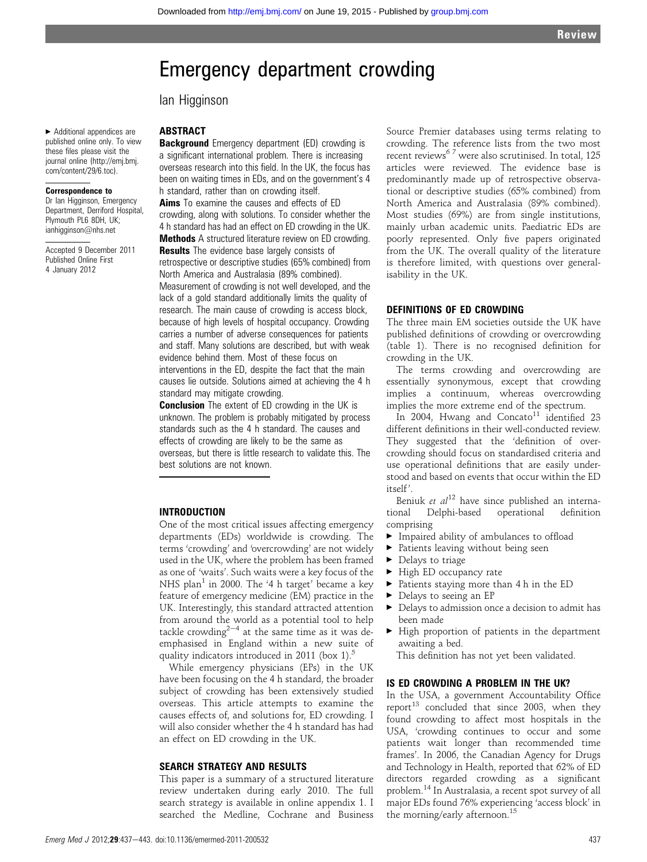# Emergency department crowding

Ian Higginson

ABSTRACT

▶ Additional appendices are published online only. To view these files please visit the journal online (http://emj.bmj. com/content/29/6.toc).

#### Correspondence to

Dr Ian Higginson, Emergency Department, Derriford Hospital, Plymouth PL6 8DH, UK; ianhigginson@nhs.net

Accepted 9 December 2011 Published Online First 4 January 2012

**Background** Emergency department (ED) crowding is a significant international problem. There is increasing overseas research into this field. In the UK, the focus has been on waiting times in EDs, and on the government's 4 h standard, rather than on crowding itself.

Aims To examine the causes and effects of ED crowding, along with solutions. To consider whether the 4 h standard has had an effect on ED crowding in the UK. Methods A structured literature review on ED crowding. **Results** The evidence base largely consists of retrospective or descriptive studies (65% combined) from

North America and Australasia (89% combined). Measurement of crowding is not well developed, and the lack of a gold standard additionally limits the quality of research. The main cause of crowding is access block, because of high levels of hospital occupancy. Crowding carries a number of adverse consequences for patients and staff. Many solutions are described, but with weak evidence behind them. Most of these focus on interventions in the ED, despite the fact that the main causes lie outside. Solutions aimed at achieving the 4 h standard may mitigate crowding.

**Conclusion** The extent of ED crowding in the UK is unknown. The problem is probably mitigated by process standards such as the 4 h standard. The causes and effects of crowding are likely to be the same as overseas, but there is little research to validate this. The best solutions are not known.

## INTRODUCTION

One of the most critical issues affecting emergency departments (EDs) worldwide is crowding. The terms 'crowding' and 'overcrowding' are not widely used in the UK, where the problem has been framed as one of 'waits'. Such waits were a key focus of the NHS plan<sup>1</sup> in 2000. The '4 h target' became a key feature of emergency medicine (EM) practice in the UK. Interestingly, this standard attracted attention from around the world as a potential tool to help tackle crowding<sup>2-4</sup> at the same time as it was deemphasised in England within a new suite of quality indicators introduced in 2011 (box 1).<sup>5</sup>

While emergency physicians (EPs) in the UK have been focusing on the 4 h standard, the broader subject of crowding has been extensively studied overseas. This article attempts to examine the causes effects of, and solutions for, ED crowding. I will also consider whether the 4 h standard has had an effect on ED crowding in the UK.

#### SEARCH STRATEGY AND RESULTS

This paper is a summary of a structured literature review undertaken during early 2010. The full search strategy is available in online appendix 1. I searched the Medline, Cochrane and Business Source Premier databases using terms relating to crowding. The reference lists from the two most recent reviews<sup>67</sup> were also scrutinised. In total, 125 articles were reviewed. The evidence base is predominantly made up of retrospective observational or descriptive studies (65% combined) from North America and Australasia (89% combined). Most studies (69%) are from single institutions, mainly urban academic units. Paediatric EDs are poorly represented. Only five papers originated from the UK. The overall quality of the literature is therefore limited, with questions over generalisability in the UK.

#### DEFINITIONS OF ED CROWDING

The three main EM societies outside the UK have published definitions of crowding or overcrowding (table 1). There is no recognised definition for crowding in the UK.

The terms crowding and overcrowding are essentially synonymous, except that crowding implies a continuum, whereas overcrowding implies the more extreme end of the spectrum.

In 2004, Hwang and Concato<sup>11</sup> identified 23 different definitions in their well-conducted review. They suggested that the 'definition of overcrowding should focus on standardised criteria and use operational definitions that are easily understood and based on events that occur within the ED itself'.

Beniuk et  $al^{12}$  have since published an international Delphi-based operational definition comprising

- < Impaired ability of ambulances to offload
- Patients leaving without being seen
- ▶ Delays to triage
- ▶ High ED occupancy rate
- ▶ Patients staying more than 4 h in the ED
- ▶ Delays to seeing an EP
- $\blacktriangleright$  Delays to admission once a decision to admit has been made
- ▶ High proportion of patients in the department awaiting a bed.

#### IS ED CROWDING A PROBLEM IN THE UK?

In the USA, a government Accountability Office report<sup>13</sup> concluded that since 2003, when they found crowding to affect most hospitals in the USA, 'crowding continues to occur and some patients wait longer than recommended time frames'. In 2006, the Canadian Agency for Drugs and Technology in Health, reported that 62% of ED directors regarded crowding as a significant problem.<sup>14</sup> In Australasia, a recent spot survey of all major EDs found 76% experiencing 'access block' in the morning/early afternoon.<sup>15</sup>

This definition has not yet been validated.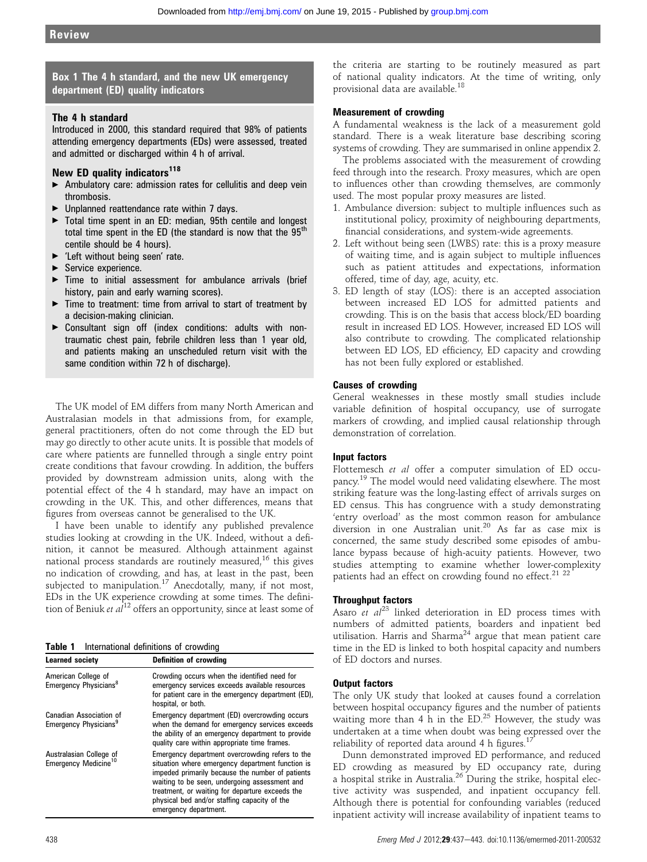Box 1 The 4 h standard, and the new UK emergency department (ED) quality indicators

## The 4 h standard

Introduced in 2000, this standard required that 98% of patients attending emergency departments (EDs) were assessed, treated and admitted or discharged within 4 h of arrival.

## New ED quality indicators<sup>118</sup>

- $\blacktriangleright$  Ambulatory care: admission rates for cellulitis and deep vein thrombosis.
- < Unplanned reattendance rate within 7 days.
- ▶ Total time spent in an ED: median, 95th centile and longest total time spent in the ED (the standard is now that the  $95<sup>th</sup>$ centile should be 4 hours).
- ► 'Left without being seen' rate.
- Service experience.
- < Time to initial assessment for ambulance arrivals (brief history, pain and early warning scores).
- < Time to treatment: time from arrival to start of treatment by a decision-making clinician.
- ▶ Consultant sign off (index conditions: adults with nontraumatic chest pain, febrile children less than 1 year old, and patients making an unscheduled return visit with the same condition within 72 h of discharge).

The UK model of EM differs from many North American and Australasian models in that admissions from, for example, general practitioners, often do not come through the ED but may go directly to other acute units. It is possible that models of care where patients are funnelled through a single entry point create conditions that favour crowding. In addition, the buffers provided by downstream admission units, along with the potential effect of the 4 h standard, may have an impact on crowding in the UK. This, and other differences, means that figures from overseas cannot be generalised to the UK.

I have been unable to identify any published prevalence studies looking at crowding in the UK. Indeed, without a definition, it cannot be measured. Although attainment against national process standards are routinely measured, $^{16}$  this gives no indication of crowding, and has, at least in the past, been subjected to manipulation.<sup>17</sup> Anecdotally, many, if not most, EDs in the UK experience crowding at some times. The definition of Beniuk et  $aI^{12}$  offers an opportunity, since at least some of

Table 1 International definitions of crowding

| <b>Learned society</b>                                       | Definition of crowding                                                                                                                                                                                                                                                                                                               |
|--------------------------------------------------------------|--------------------------------------------------------------------------------------------------------------------------------------------------------------------------------------------------------------------------------------------------------------------------------------------------------------------------------------|
| American College of<br>Emergency Physicians <sup>8</sup>     | Crowding occurs when the identified need for<br>emergency services exceeds available resources<br>for patient care in the emergency department (ED),<br>hospital, or both.                                                                                                                                                           |
| Canadian Association of<br>Emergency Physicians <sup>9</sup> | Emergency department (ED) overcrowding occurs<br>when the demand for emergency services exceeds<br>the ability of an emergency department to provide<br>quality care within appropriate time frames.                                                                                                                                 |
| Australasian College of<br>Emergency Medicine <sup>10</sup>  | Emergency department overcrowding refers to the<br>situation where emergency department function is<br>impeded primarily because the number of patients<br>waiting to be seen, undergoing assessment and<br>treatment, or waiting for departure exceeds the<br>physical bed and/or staffing capacity of the<br>emergency department. |

the criteria are starting to be routinely measured as part of national quality indicators. At the time of writing, only provisional data are available.<sup>18</sup>

## Measurement of crowding

A fundamental weakness is the lack of a measurement gold standard. There is a weak literature base describing scoring systems of crowding. They are summarised in online appendix 2.

The problems associated with the measurement of crowding feed through into the research. Proxy measures, which are open to influences other than crowding themselves, are commonly used. The most popular proxy measures are listed.

- 1. Ambulance diversion: subject to multiple influences such as institutional policy, proximity of neighbouring departments, financial considerations, and system-wide agreements.
- 2. Left without being seen (LWBS) rate: this is a proxy measure of waiting time, and is again subject to multiple influences such as patient attitudes and expectations, information offered, time of day, age, acuity, etc.
- 3. ED length of stay (LOS): there is an accepted association between increased ED LOS for admitted patients and crowding. This is on the basis that access block/ED boarding result in increased ED LOS. However, increased ED LOS will also contribute to crowding. The complicated relationship between ED LOS, ED efficiency, ED capacity and crowding has not been fully explored or established.

## Causes of crowding

General weaknesses in these mostly small studies include variable definition of hospital occupancy, use of surrogate markers of crowding, and implied causal relationship through demonstration of correlation.

## Input factors

Flottemesch et al offer a computer simulation of ED occupancy.19 The model would need validating elsewhere. The most striking feature was the long-lasting effect of arrivals surges on ED census. This has congruence with a study demonstrating 'entry overload' as the most common reason for ambulance diversion in one Australian unit.<sup>20</sup> As far as case mix is concerned, the same study described some episodes of ambulance bypass because of high-acuity patients. However, two studies attempting to examine whether lower-complexity patients had an effect on crowding found no effect.<sup>21</sup><sup>22</sup>

## Throughput factors

Asaro et  $al^{23}$  linked deterioration in ED process times with numbers of admitted patients, boarders and inpatient bed utilisation. Harris and Sharma $^{24}$  argue that mean patient care time in the ED is linked to both hospital capacity and numbers of ED doctors and nurses.

## Output factors

The only UK study that looked at causes found a correlation between hospital occupancy figures and the number of patients waiting more than 4 h in the  $ED.^{25}$  However, the study was undertaken at a time when doubt was being expressed over the reliability of reported data around 4 h figures.<sup>17</sup>

Dunn demonstrated improved ED performance, and reduced ED crowding as measured by ED occupancy rate, during a hospital strike in Australia.<sup>26</sup> During the strike, hospital elective activity was suspended, and inpatient occupancy fell. Although there is potential for confounding variables (reduced inpatient activity will increase availability of inpatient teams to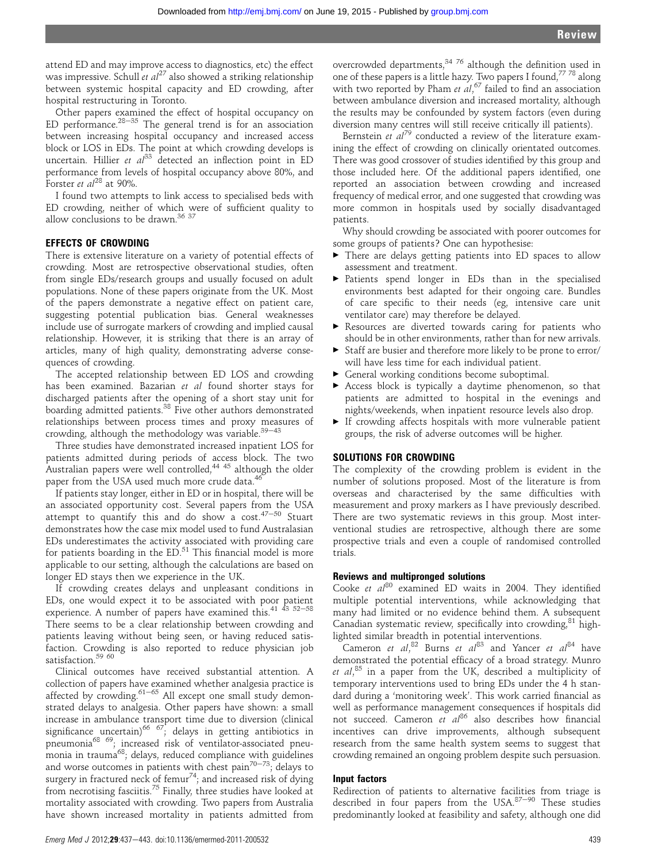attend ED and may improve access to diagnostics, etc) the effect was impressive. Schull et  $al^{27}$  also showed a striking relationship between systemic hospital capacity and ED crowding, after hospital restructuring in Toronto.

Other papers examined the effect of hospital occupancy on ED performance. $28-35$  The general trend is for an association between increasing hospital occupancy and increased access block or LOS in EDs. The point at which crowding develops is uncertain. Hillier et  $aI^{33}$  detected an inflection point in ED performance from levels of hospital occupancy above 80%, and Forster et  $al^{28}$  at 90%.

I found two attempts to link access to specialised beds with ED crowding, neither of which were of sufficient quality to allow conclusions to be drawn.<sup>36 37</sup>

## EFFECTS OF CROWDING

There is extensive literature on a variety of potential effects of crowding. Most are retrospective observational studies, often from single EDs/research groups and usually focused on adult populations. None of these papers originate from the UK. Most of the papers demonstrate a negative effect on patient care, suggesting potential publication bias. General weaknesses include use of surrogate markers of crowding and implied causal relationship. However, it is striking that there is an array of articles, many of high quality, demonstrating adverse consequences of crowding.

The accepted relationship between ED LOS and crowding has been examined. Bazarian et al found shorter stays for discharged patients after the opening of a short stay unit for boarding admitted patients.<sup>38</sup> Five other authors demonstrated relationships between process times and proxy measures of crowding, although the methodology was variable. $39-43$ 

Three studies have demonstrated increased inpatient LOS for patients admitted during periods of access block. The two Australian papers were well controlled,<sup>44 45</sup> although the older paper from the USA used much more crude data.<sup>46</sup>

If patients stay longer, either in ED or in hospital, there will be an associated opportunity cost. Several papers from the USA attempt to quantify this and do show a cost. $47-50$  Stuart demonstrates how the case mix model used to fund Australasian EDs underestimates the activity associated with providing care for patients boarding in the  $ED<sup>51</sup>$  This financial model is more applicable to our setting, although the calculations are based on longer ED stays then we experience in the UK.

If crowding creates delays and unpleasant conditions in EDs, one would expect it to be associated with poor patient experience. A number of papers have examined this. $41 \times 43 \times 52 - 58$ There seems to be a clear relationship between crowding and patients leaving without being seen, or having reduced satisfaction. Crowding is also reported to reduce physician job satisfaction.<sup>59 60</sup>

Clinical outcomes have received substantial attention. A collection of papers have examined whether analgesia practice is affected by crowding. $61-65$  All except one small study demonstrated delays to analgesia. Other papers have shown: a small increase in ambulance transport time due to diversion (clinical significance uncertain) $^{66}$   $^{67}$ ; delays in getting antibiotics in pneumonia<sup>68 69</sup>; increased risk of ventilator-associated pneumonia in trauma<sup>68</sup>; delays, reduced compliance with guidelines and worse outcomes in patients with chest pain<sup>70-73</sup>; delays to surgery in fractured neck of femur<sup>74</sup>; and increased risk of dying from necrotising fasciitis.<sup>75</sup> Finally, three studies have looked at mortality associated with crowding. Two papers from Australia have shown increased mortality in patients admitted from

overcrowded departments, $3476$  although the definition used in one of these papers is a little hazy. Two papers I found,77 78 along with two reported by Pham et  $al$ ,  $67$  failed to find an association between ambulance diversion and increased mortality, although the results may be confounded by system factors (even during diversion many centres will still receive critically ill patients).

Bernstein et  $al^{79}$  conducted a review of the literature examining the effect of crowding on clinically orientated outcomes. There was good crossover of studies identified by this group and those included here. Of the additional papers identified, one reported an association between crowding and increased frequency of medical error, and one suggested that crowding was more common in hospitals used by socially disadvantaged patients.

Why should crowding be associated with poorer outcomes for some groups of patients? One can hypothesise:

- There are delays getting patients into ED spaces to allow assessment and treatment.
- < Patients spend longer in EDs than in the specialised environments best adapted for their ongoing care. Bundles of care specific to their needs (eg, intensive care unit ventilator care) may therefore be delayed.
- ▶ Resources are diverted towards caring for patients who should be in other environments, rather than for new arrivals.
- < Staff are busier and therefore more likely to be prone to error/ will have less time for each individual patient.
- < General working conditions become suboptimal.
- < Access block is typically a daytime phenomenon, so that patients are admitted to hospital in the evenings and nights/weekends, when inpatient resource levels also drop.
- < If crowding affects hospitals with more vulnerable patient groups, the risk of adverse outcomes will be higher.

## SOLUTIONS FOR CROWDING

The complexity of the crowding problem is evident in the number of solutions proposed. Most of the literature is from overseas and characterised by the same difficulties with measurement and proxy markers as I have previously described. There are two systematic reviews in this group. Most interventional studies are retrospective, although there are some prospective trials and even a couple of randomised controlled trials.

#### Reviews and multipronged solutions

Cooke et  $al^{80}$  examined ED waits in 2004. They identified multiple potential interventions, while acknowledging that many had limited or no evidence behind them. A subsequent Canadian systematic review, specifically into crowding,<sup>81</sup> highlighted similar breadth in potential interventions.

Cameron et  $aI$ <sup>82</sup>, Burns et  $aI^{83}$  and Yancer et  $aI^{84}$  have demonstrated the potential efficacy of a broad strategy. Munro et  $al$ ,<sup>85</sup> in a paper from the UK, described a multiplicity of temporary interventions used to bring EDs under the 4 h standard during a 'monitoring week'. This work carried financial as well as performance management consequences if hospitals did not succeed. Cameron et  $al^{86}$  also describes how financial incentives can drive improvements, although subsequent research from the same health system seems to suggest that crowding remained an ongoing problem despite such persuasion.

#### Input factors

Redirection of patients to alternative facilities from triage is described in four papers from the USA. $87-90$  These studies predominantly looked at feasibility and safety, although one did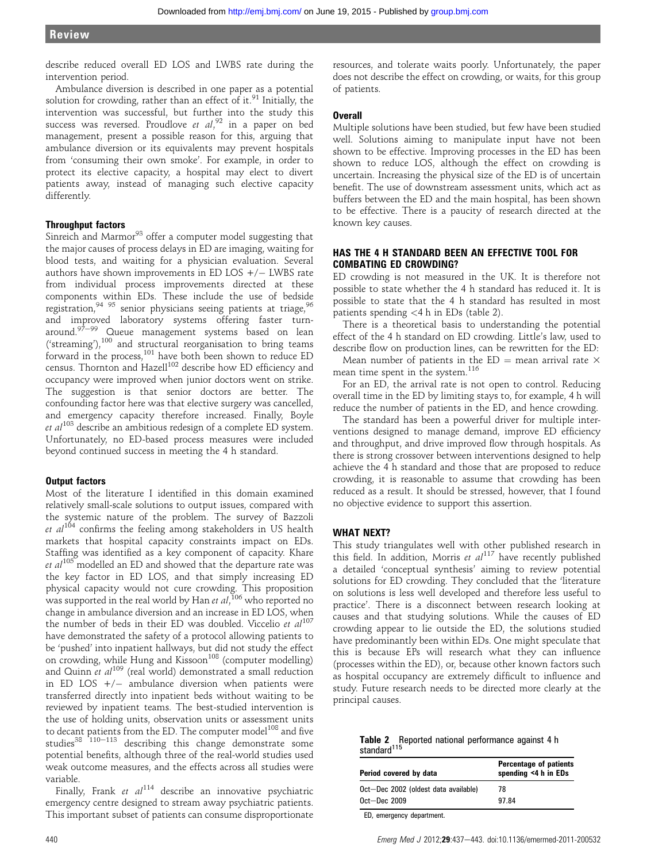describe reduced overall ED LOS and LWBS rate during the intervention period.

Ambulance diversion is described in one paper as a potential solution for crowding, rather than an effect of it.<sup>91</sup> Initially, the intervention was successful, but further into the study this success was reversed. Proudlove et  $al$ , $^{92}$  in a paper on bed management, present a possible reason for this, arguing that ambulance diversion or its equivalents may prevent hospitals from 'consuming their own smoke'. For example, in order to protect its elective capacity, a hospital may elect to divert patients away, instead of managing such elective capacity differently.

#### Throughput factors

Sinreich and Marmor<sup>93</sup> offer a computer model suggesting that the major causes of process delays in ED are imaging, waiting for blood tests, and waiting for a physician evaluation. Several authors have shown improvements in ED LOS  $+/-$  LWBS rate from individual process improvements directed at these components within EDs. These include the use of bedside registration, <sup>94 95</sup> senior physicians seeing patients at triage, <sup>96</sup> and improved laboratory systems offering faster turnaround. $97-99$  Queue management systems based on lean ('streaming'),<sup>100</sup> and structural reorganisation to bring teams forward in the process, $^{101}$  have both been shown to reduce ED census. Thornton and Hazell<sup>102</sup> describe how ED efficiency and occupancy were improved when junior doctors went on strike. The suggestion is that senior doctors are better. The confounding factor here was that elective surgery was cancelled, and emergency capacity therefore increased. Finally, Boyle et  $al^{103}$  describe an ambitious redesign of a complete ED system. Unfortunately, no ED-based process measures were included beyond continued success in meeting the 4 h standard.

#### Output factors

Most of the literature I identified in this domain examined relatively small-scale solutions to output issues, compared with the systemic nature of the problem. The survey of Bazzoli et  $al^{104}$  confirms the feeling among stakeholders in US health markets that hospital capacity constraints impact on EDs. Staffing was identified as a key component of capacity. Khare et  $al^{105}$  modelled an ED and showed that the departure rate was the key factor in ED LOS, and that simply increasing ED physical capacity would not cure crowding. This proposition was supported in the real world by Han *et al*,  $^{106}$  who reported no change in ambulance diversion and an increase in ED LOS, when the number of beds in their ED was doubled. Viccelio et  $al^{107}$ have demonstrated the safety of a protocol allowing patients to be 'pushed' into inpatient hallways, but did not study the effect on crowding, while Hung and Kissoon<sup>108</sup> (computer modelling) and Quinn et  $al^{109}$  (real world) demonstrated a small reduction in ED LOS  $+/-$  ambulance diversion when patients were transferred directly into inpatient beds without waiting to be reviewed by inpatient teams. The best-studied intervention is the use of holding units, observation units or assessment units to decant patients from the ED. The computer model $108$  and five studies $38$   $110-113$  describing this change demonstrate some potential benefits, although three of the real-world studies used weak outcome measures, and the effects across all studies were variable.

Finally, Frank et  $al^{114}$  describe an innovative psychiatric emergency centre designed to stream away psychiatric patients. This important subset of patients can consume disproportionate

resources, and tolerate waits poorly. Unfortunately, the paper does not describe the effect on crowding, or waits, for this group of patients.

#### **Overall**

Multiple solutions have been studied, but few have been studied well. Solutions aiming to manipulate input have not been shown to be effective. Improving processes in the ED has been shown to reduce LOS, although the effect on crowding is uncertain. Increasing the physical size of the ED is of uncertain benefit. The use of downstream assessment units, which act as buffers between the ED and the main hospital, has been shown to be effective. There is a paucity of research directed at the known key causes.

#### HAS THE 4 H STANDARD BEEN AN EFFECTIVE TOOL FOR COMBATING ED CROWDING?

ED crowding is not measured in the UK. It is therefore not possible to state whether the 4 h standard has reduced it. It is possible to state that the 4 h standard has resulted in most patients spending <4 h in EDs (table 2).

There is a theoretical basis to understanding the potential effect of the 4 h standard on ED crowding. Little's law, used to describe flow on production lines, can be rewritten for the ED:

Mean number of patients in the ED = mean arrival rate  $\times$ mean time spent in the system.<sup>116</sup>

For an ED, the arrival rate is not open to control. Reducing overall time in the ED by limiting stays to, for example, 4 h will reduce the number of patients in the ED, and hence crowding.

The standard has been a powerful driver for multiple interventions designed to manage demand, improve ED efficiency and throughput, and drive improved flow through hospitals. As there is strong crossover between interventions designed to help achieve the 4 h standard and those that are proposed to reduce crowding, it is reasonable to assume that crowding has been reduced as a result. It should be stressed, however, that I found no objective evidence to support this assertion.

#### WHAT NEXT?

This study triangulates well with other published research in this field. In addition, Morris et  $aI^{117}$  have recently published a detailed 'conceptual synthesis' aiming to review potential solutions for ED crowding. They concluded that the 'literature on solutions is less well developed and therefore less useful to practice'. There is a disconnect between research looking at causes and that studying solutions. While the causes of ED crowding appear to lie outside the ED, the solutions studied have predominantly been within EDs. One might speculate that this is because EPs will research what they can influence (processes within the ED), or, because other known factors such as hospital occupancy are extremely difficult to influence and study. Future research needs to be directed more clearly at the principal causes.

|                         |  | <b>Table 2</b> Reported national performance against 4 h |  |
|-------------------------|--|----------------------------------------------------------|--|
| standard <sup>115</sup> |  |                                                          |  |

| Period covered by data               | Percentage of patients<br>spending <4 h in EDs |
|--------------------------------------|------------------------------------------------|
| Oct-Dec 2002 (oldest data available) | 78                                             |
| $0ct - Dec$ 2009                     | 97.84                                          |

ED, emergency department.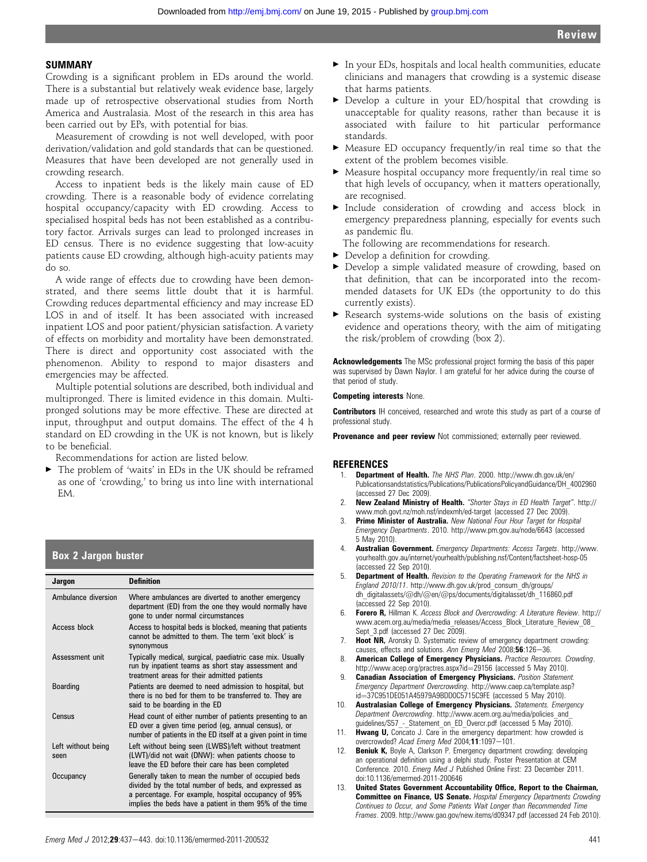#### SUMMARY

Crowding is a significant problem in EDs around the world. There is a substantial but relatively weak evidence base, largely made up of retrospective observational studies from North America and Australasia. Most of the research in this area has been carried out by EPs, with potential for bias.

Measurement of crowding is not well developed, with poor derivation/validation and gold standards that can be questioned. Measures that have been developed are not generally used in crowding research.

Access to inpatient beds is the likely main cause of ED crowding. There is a reasonable body of evidence correlating hospital occupancy/capacity with ED crowding. Access to specialised hospital beds has not been established as a contributory factor. Arrivals surges can lead to prolonged increases in ED census. There is no evidence suggesting that low-acuity patients cause ED crowding, although high-acuity patients may do so.

A wide range of effects due to crowding have been demonstrated, and there seems little doubt that it is harmful. Crowding reduces departmental efficiency and may increase ED LOS in and of itself. It has been associated with increased inpatient LOS and poor patient/physician satisfaction. A variety of effects on morbidity and mortality have been demonstrated. There is direct and opportunity cost associated with the phenomenon. Ability to respond to major disasters and emergencies may be affected.

Multiple potential solutions are described, both individual and multipronged. There is limited evidence in this domain. Multipronged solutions may be more effective. These are directed at input, throughput and output domains. The effect of the 4 h standard on ED crowding in the UK is not known, but is likely to be beneficial.

Recommendations for action are listed below.

< The problem of 'waits' in EDs in the UK should be reframed as one of 'crowding,' to bring us into line with international EM.

## Box 2 Jargon buster

| Jargon                     | <b>Definition</b>                                                                                                                                                                                                               |
|----------------------------|---------------------------------------------------------------------------------------------------------------------------------------------------------------------------------------------------------------------------------|
| Ambulance diversion        | Where ambulances are diverted to another emergency<br>department (ED) from the one they would normally have<br>gone to under normal circumstances                                                                               |
| Access block               | Access to hospital beds is blocked, meaning that patients<br>cannot be admitted to them. The term 'exit block' is<br>synonymous                                                                                                 |
| Assessment unit            | Typically medical, surgical, paediatric case mix. Usually<br>run by inpatient teams as short stay assessment and<br>treatment areas for their admitted patients                                                                 |
| <b>Boarding</b>            | Patients are deemed to need admission to hospital, but<br>there is no bed for them to be transferred to. They are<br>said to be boarding in the ED                                                                              |
| Census                     | Head count of either number of patients presenting to an<br>ED over a given time period (eg, annual census), or<br>number of patients in the ED itself at a given point in time                                                 |
| Left without being<br>seen | Left without being seen (LWBS)/left without treatment<br>(LWT)/did not wait (DNW): when patients choose to<br>leave the ED before their care has been completed                                                                 |
| Occupancy                  | Generally taken to mean the number of occupied beds<br>divided by the total number of beds, and expressed as<br>a percentage. For example, hospital occupancy of 95%<br>implies the beds have a patient in them 95% of the time |

- ▶ In your EDs, hospitals and local health communities, educate clinicians and managers that crowding is a systemic disease that harms patients.
- $\triangleright$  Develop a culture in your ED/hospital that crowding is unacceptable for quality reasons, rather than because it is associated with failure to hit particular performance standards.
- < Measure ED occupancy frequently/in real time so that the extent of the problem becomes visible.
- < Measure hospital occupancy more frequently/in real time so that high levels of occupancy, when it matters operationally, are recognised.
- < Include consideration of crowding and access block in emergency preparedness planning, especially for events such as pandemic flu.

The following are recommendations for research.

- $\blacktriangleright$  Develop a definition for crowding.
- < Develop a simple validated measure of crowding, based on that definition, that can be incorporated into the recommended datasets for UK EDs (the opportunity to do this currently exists).
- < Research systems-wide solutions on the basis of existing evidence and operations theory, with the aim of mitigating the risk/problem of crowding (box 2).

Acknowledgements The MSc professional project forming the basis of this paper was supervised by Dawn Naylor. I am grateful for her advice during the course of that period of study.

#### Competing interests None.

Contributors IH conceived, researched and wrote this study as part of a course of professional study.

Provenance and peer review Not commissioned; externally peer reviewed.

## REFERENCES

- 1. **Department of Health.** The NHS Plan. 2000. http://www.dh.gov.uk/en/ Publicationsandstatistics/Publications/PublicationsPolicyandGuidance/DH\_4002960 (accessed 27 Dec 2009).
- New Zealand Ministry of Health. "Shorter Stays in ED Health Target". http:// www.moh.govt.nz/moh.nsf/indexmh/ed-target (accessed 27 Dec 2009).
- 3. Prime Minister of Australia. New National Four Hour Target for Hospital Emergency Departments. 2010. http://www.pm.gov.au/node/6643 (accessed 5 May 2010).
- 4. **Australian Government.** Emergency Departments: Access Targets. http://www. yourhealth.gov.au/internet/yourhealth/publishing.nsf/Content/factsheet-hosp-05 (accessed 22 Sep 2010).
- 5. Department of Health. Revision to the Operating Framework for the NHS in England 2010/11. http://www.dh.gov.uk/prod\_consum\_dh/groups/ dh\_digitalassets/@dh/@en/@ps/documents/digitalasset/dh\_116860.pdf (accessed 22 Sep 2010).
- 6. Forero R, Hillman K. Access Block and Overcrowding: A Literature Review. http:// www.acem.org.au/media/media\_releases/Access\_Block\_Literature\_Review\_08 Sept\_3.pdf (accessed 27 Dec 2009).
- 7. Hoot NR, Aronsky D. Systematic review of emergency department crowding: causes, effects and solutions. Ann Emerg Med 2008;56:126-36.
- 8. American College of Emergency Physicians. Practice Resources. Crowding. http://www.acep.org/practres.aspx?id=29156 (accessed 5 May 2010).
- 9. Canadian Association of Emergency Physicians. Position Statement. Emergency Department Overcrowding. http://www.caep.ca/template.asp? id=37C951DE051A45979A9BDD0C5715C9FE (accessed 5 May 2010).
- 10. Australasian College of Emergency Physicians. Statements. Emergency Department Overcrowding. http://www.acem.org.au/media/policies\_and\_ guidelines/S57 - Statement\_on\_ED\_Overcr.pdf (accessed 5 May 2010).
- 11. **Hwang U,** Concato J. Care in the emergency department: how crowded is overcrowded? Acad Emerg Med 2004;11:1097-101.
- 12. Beniuk K, Boyle A, Clarkson P. Emergency department crowding: developing an operational definition using a delphi study. Poster Presentation at CEM Conference. 2010. Emerg Med J Published Online First: 23 December 2011. doi:10.1136/emermed-2011-200646
- 13. United States Government Accountability Office, Report to the Chairman, **Committee on Finance, US Senate.** Hospital Emergency Departments Crowding Continues to Occur, and Some Patients Wait Longer than Recommended Time Frames. 2009. http://www.gao.gov/new.items/d09347.pdf (accessed 24 Feb 2010).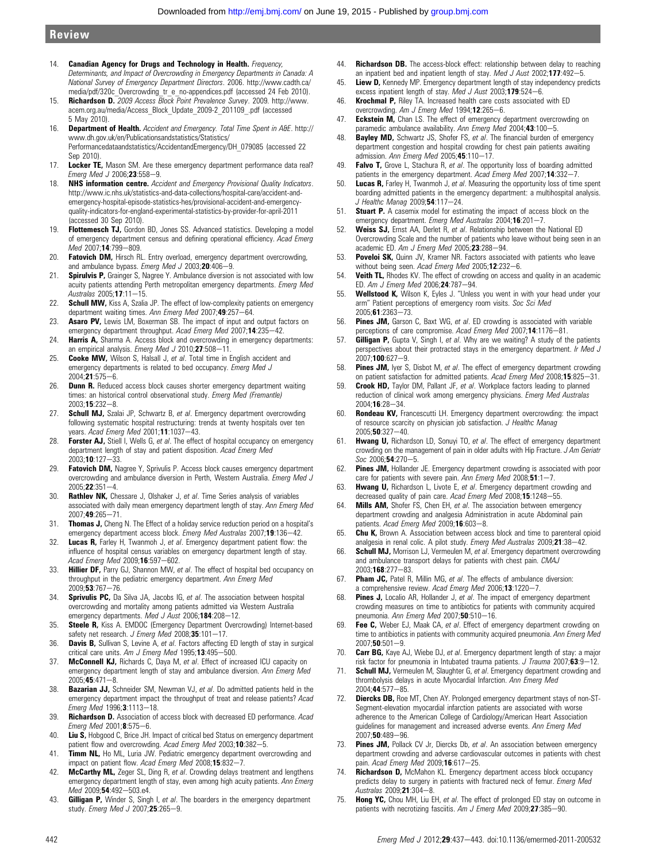## Review

- 14. Canadian Agency for Drugs and Technology in Health. Frequency, Determinants, and Impact of Overcrowding in Emergency Departments in Canada: A National Survey of Emergency Department Directors. 2006. http://www.cadth.ca/ media/pdf/320c\_Overcrowding\_tr\_e\_no-appendices.pdf (accessed 24 Feb 2010).
- 15. Richardson D. 2009 Access Block Point Prevalence Survey. 2009. http://www. acem.org.au/media/Access\_Block\_Update\_2009-2\_201109\_.pdf (accessed 5 May 2010).
- 16. **Department of Health.** Accident and Emergency. Total Time Spent in A&E. http:// www.dh.gov.uk/en/Publicationsandstatistics/Statistics/ Performancedataandstatistics/AccidentandEmergency/DH\_079085 (accessed 22 Sep 2010).
- 17. Locker TE, Mason SM. Are these emergency department performance data real? Emerg Med J 2006;23:558-9.
- 18. NHS information centre. Accident and Emergency Provisional Quality Indicators. http://www.ic.nhs.uk/statistics-and-data-collections/hospital-care/accident-andemergency-hospital-episode-statistics-hes/provisional-accident-and-emergencyquality-indicators-for-england-experimental-statistics-by-provider-for-april-2011 (accessed 30 Sep 2010).
- 19. Flottemesch TJ, Gordon BD, Jones SS. Advanced statistics. Developing a model of emergency department census and defining operational efficiency. Acad Emerg  $Med$  2007;14:799-809.
- 20. Fatovich DM, Hirsch RL. Entry overload, emergency department overcrowding, and ambulance bypass. Emerg Med J 2003;20:406-9.
- 21. **Spirulvis P,** Grainger S, Nagree Y. Ambulance diversion is not associated with low acuity patients attending Perth metropolitan emergency departments. Emerg Med Australas  $2005:17:11-15$ .
- 22. Schull MW, Kiss A, Szalia JP. The effect of low-complexity patients on emergency department waiting times. Ann Emerg Med 2007;49:257-64.
- 23. **Asaro PV,** Lewis LM, Boxerman SB. The impact of input and output factors on emergency department throughput. Acad Emerg Med 2007;14:235-42.
- 24. Harris A, Sharma A. Access block and overcrowding in emergency departments: an empirical analysis. Emerg Med J 2010;27:508-11
- 25. Cooke MW, Wilson S, Halsall J, et al. Total time in English accident and emergency departments is related to bed occupancy. Emerg Med J  $2004:21:575-6.$
- 26. Dunn R. Reduced access block causes shorter emergency department waiting times: an historical control observational study. Emerg Med (Fremantle)  $2003; 15:232 - 8.$
- 27. Schull MJ, Szalai JP, Schwartz B, et al. Emergency department overcrowding following systematic hospital restructuring: trends at twenty hospitals over ten vears. Acad Emerg Med 2001:11:1037-43.
- 28. Forster AJ, Stiell I, Wells G, et al. The effect of hospital occupancy on emergency department length of stay and patient disposition. Acad Emerg Med  $2003:10:127-33.$
- 29. **Fatovich DM,** Nagree Y, Sprivulis P. Access block causes emergency department overcrowding and ambulance diversion in Perth, Western Australia. Emerg Med J  $2005:22:351 - 4$
- 30. Rathlev NK, Chessare J, Olshaker J, et al. Time Series analysis of variables associated with daily mean emergency department length of stay. Ann Emerg Med 2007:49:265-71.
- 31. Thomas J, Cheng N. The Effect of a holiday service reduction period on a hospital's emergency department access block. Emerg Med Australas 2007;19:136-42.
- 32. Lucas R, Farley H, Twanmoh J, et al. Emergency department patient flow: the influence of hospital census variables on emergency department length of stay. Acad Emerg Med 2009;16:597-602.
- 33. Hillier DF, Parry GJ, Shannon MW, et al. The effect of hospital bed occupancy on throughput in the pediatric emergency department. Ann Emerg Med 2009;53:767-76.
- 34. **Sprivulis PC,** Da Silva JA, Jacobs IG, et al. The association between hospital overcrowding and mortality among patients admitted via Western Australia emergency departments. Med J Aust 2006;184:208-12.
- 35. Steele R, Kiss A. EMDOC (Emergency Department Overcrowding) Internet-based safety net research.  $J$  Emerg Med 2008;35:101-17.
- 36. **Davis B,** Sullivan S, Levine A, et al. Factors affecting ED length of stay in surgical critical care units. Am J Emerg Med 1995;13:495-500.
- 37. McConnell KJ, Richards C, Daya M, et al. Effect of increased ICU capacity on emergency department length of stay and ambulance diversion. Ann Emerg Med  $2005;45:471-8.$
- 38. Bazarian JJ, Schneider SM, Newman VJ, et al. Do admitted patients held in the emergency department impact the throughput of treat and release patients? Acad Emerg Med 1996:3:1113-18.
- 39. Richardson D. Association of access block with decreased ED performance. Acad Emerg Med 2001; $8:575-6$ .
- 40. Liu S, Hobgood C, Brice JH. Impact of critical bed Status on emergency department patient flow and overcrowding. Acad Emerg Med 2003;10:382-5.
- 41. **Timm NL, Ho ML, Luria JW. Pediatric emergency department overcrowding and** impact on patient flow. Acad Emerg Med 2008;15:832-7.
- 42. McCarthy ML, Zeger SL, Ding R, et al. Crowding delays treatment and lengthens emergency department length of stay, even among high acuity patients. Ann Emerg Med 2009;54:492-503.e4.
- 43. **Gilligan P,** Winder S, Singh I, et al. The boarders in the emergency department study. Emerg Med J 2007;25:265-9.
- 44. **Richardson DB.** The access-block effect: relationship between delay to reaching an inpatient bed and inpatient length of stay. Med  $J$  Aust 2002;177:492-5.
- 45. Liew D, Kennedy MP. Emergency department length of stay independency predicts excess inpatient length of stay. Med J Aust 2003;179:524-6.
- 46. Krochmal P, Riley TA. Increased health care costs associated with ED overcrowding. Am J Emerg Med  $1994;$ **12**:265-6.
- 47. Eckstein M, Chan LS. The effect of emergency department overcrowding on paramedic ambulance availability. Ann Emerg Med 2004;43:100-5.
- 48. **Bayley MD,** Schwartz JS, Shofer FS, et al. The financial burden of emergency department congestion and hospital crowding for chest pain patients awaiting admission. Ann Emerg Med 2005;45:110-17.
- 49. Falvo T, Grove L, Stachura R, et al. The opportunity loss of boarding admitted patients in the emergency department. Acad Emerg Med 2007;14:332-7.
- Lucas R, Farley H, Twanmoh J, et al. Measuring the opportunity loss of time spent boarding admitted patients in the emergency department: a multihospital analysis. J Healthc Manag 2009;54:117-24.
- 51. Stuart P. A casemix model for estimating the impact of access block on the emergency department. Emerg Med Australas 2004;16:201-7.
- 52. Weiss SJ, Ernst AA, Derlet R, et al. Relationship between the National ED Overcrowding Scale and the number of patients who leave without being seen in an academic ED. Am J Emerg Med 2005;23:288-94.
- 53. Poveloi SK, Quinn JV, Kramer NR. Factors associated with patients who leave without being seen. Acad Emerg Med 2005;12:232-6.
- Veith TL, Rhodes KV. The effect of crowding on access and quality in an academic ED. Am J Emerg Med 2006: $24:787-94$ .
- 55. Wellstood K, Wilson K, Eyles J. "Unless you went in with your head under your arm" Patient perceptions of emergency room visits. Soc Sci Med 2005;61:2363-73.
- 56. Pines JM, Garson C, Baxt WG, et al. ED crowding is associated with variable perceptions of care compromise. Acad Emerg Med 2007;14:1176-81.
- 57. **Gilligan P,** Gupta V, Singh I, et al. Why are we waiting? A study of the patients perspectives about their protracted stays in the emergency department. Ir Med J  $2007;100:627-9.$
- 58. Pines JM, Iyer S, Disbot M, et al. The effect of emergency department crowding on patient satisfaction for admitted patients. Acad Emerg Med 2008:15:825-31.
- 59. Crook HD, Taylor DM, Pallant JF, et al. Workplace factors leading to planned reduction of clinical work among emergency physicians. Emerg Med Australas  $2004;16:28-34.$
- 60. Rondeau KV, Francescutti LH. Emergency department overcrowding: the impact of resource scarcity on physician job satisfaction. J Healthc Manag  $2005:50:327 - 40$
- 61. Hwang U, Richardson LD, Sonuyi TO, et al. The effect of emergency department crowding on the management of pain in older adults with Hip Fracture. J Am Geriatr Soc 2006;54:270-5.
- 62. Pines JM, Hollander JE. Emergency department crowding is associated with poor care for patients with severe pain. Ann Emerg Med 2008;51:1-7.
- 63. Hwang U, Richardson L, Livote E, et al. Emergency department crowding and decreased quality of pain care. Acad Emerg Med 2008;15:1248-55.
- 64. **Mills AM,** Shofer FS, Chen EH, et al. The association between emergency department crowding and analgesia Administration in acute Abdominal pain patients. Acad Emerg Med  $2009;$ 16:603-8.
- 65. Chu K, Brown A. Association between access block and time to parenteral opioid analgesia in renal colic. A pilot study. Emerg Med Australas 2009;21:38-42
- 66. Schull MJ, Morrison LJ, Vermeulen M, et al. Emergency department overcrowding and ambulance transport delays for patients with chest pain. CMAJ  $2003:168:277-83.$
- 67. Pham JC, Patel R, Millin MG, et al. The effects of ambulance diversion: a comprehensive review. Acad Emerg Med 2006;13:1220-7.
- 68. Pines J, Localio AR, Hollander J, et al. The impact of emergency department crowding measures on time to antibiotics for patients with community acquired pneumonia. Ann Emerg Med 2007;50:510-16.
- 69. Fee C, Weber EJ, Maak CA, et al. Effect of emergency department crowding on time to antibiotics in patients with community acquired pneumonia. Ann Emerg Med  $2007;50:501-9.$
- 70. **Carr BG,** Kaye AJ, Wiebe DJ, et al. Emergency department length of stay: a major risk factor for pneumonia in Intubated trauma patients. J Trauma 2007;63:9-12.
- 71. Schull MJ, Vermeulen M, Slaughter G, et al. Emergency department crowding and thrombolysis delays in acute Myocardial Infarction. Ann Emerg Med 2004;44:577-85.
- 72. **Diercks DB,** Roe MT, Chen AY. Prolonged emergency department stays of non-ST-Segment-elevation myocardial infarction patients are associated with worse adherence to the American College of Cardiology/American Heart Association guidelines for management and increased adverse events. Ann Emerg Med 2007:50:489-96.
- 73. Pines JM, Pollack CV Jr, Diercks Db, et al. An association between emergency department crowding and adverse cardiovascular outcomes in patients with chest pain. Acad Emerg Med 2009;16:617-25.
- 74. Richardson D, McMahon KL. Emergency department access block occupancy predicts delay to surgery in patients with fractured neck of femur. Emerg Med Australas 2009:21:304-8.
- 75. Hong YC, Chou MH, Liu EH, et al. The effect of prolonged ED stay on outcome in patients with necrotizing fasciitis. Am J Emerg Med 2009;27:385-90.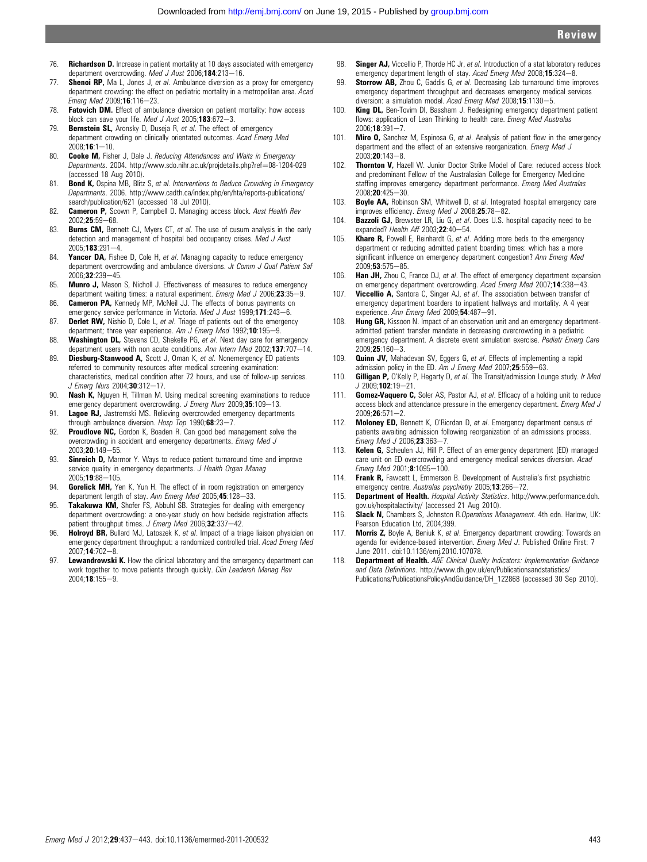- 76. **Richardson D.** Increase in patient mortality at 10 days associated with emergency department overcrowding. Med J Aust 2006;184:213-16.
- 77. **Shenoi RP,** Ma L, Jones J, et al. Ambulance diversion as a proxy for emergency department crowding: the effect on pediatric mortality in a metropolitan area. Acad Emerg Med 2009:16:116-23.
- 78. Fatovich DM. Effect of ambulance diversion on patient mortality: how access block can save your life. Med J Aust 2005;183:672-3.
- 79. **Bernstein SL,** Aronsky D, Duseja R, et al. The effect of emergency department crowding on clinically orientated outcomes. Acad Emerg Med  $2008;16:1-10.$
- 80. **Cooke M,** Fisher J, Dale J. Reducing Attendances and Waits in Emergency Departments. 2004. http://www.sdo.nihr.ac.uk/projdetails.php?ref=08-1204-029 (accessed 18 Aug 2010).
- 81. **Bond K,** Ospina MB, Blitz S, et al. Interventions to Reduce Crowding in Emergency Departments. 2006. http://www.cadth.ca/index.php/en/hta/reports-publications/ search/publication/621 (accessed 18 Jul 2010).
- 82. **Cameron P,** Scown P, Campbell D. Managing access block. Aust Health Rev 2002:25:59-68.
- 83. **Burns CM,** Bennett CJ, Myers CT, et al. The use of cusum analysis in the early detection and management of hospital bed occupancy crises. Med J Aust  $2005:183:291 - 4$
- 84. Yancer DA, Fishee D, Cole H, et al. Managing capacity to reduce emergency department overcrowding and ambulance diversions. Jt Comm J Qual Patient Saf 2006;32:239-45.
- 85. **Munro J.** Mason S. Nicholl J. Effectiveness of measures to reduce emergency department waiting times: a natural experiment. *Emerg Med J* 2006;23:35-9.
- 86. **Cameron PA,** Kennedy MP, McNeil JJ. The effects of bonus payments on emergency service performance in Victoria. Med J Aust 1999;171:243-6.
- 87. **Derlet RW,** Nishio D, Cole L, et al. Triage of patients out of the emergency department; three year experience. Am  $\tilde{J}$  Emerg Med 1992;10:195-9.
- 88. Washington DL, Stevens CD, Shekelle PG, et al. Next day care for emergency department users with non acute conditions. Ann Intern Med 2002;137:707-14.
- 89. Diesburg-Stanwood A, Scott J, Oman K, et al. Nonemergency ED patients referred to community resources after medical screening examination: characteristics, medical condition after 72 hours, and use of follow-up services. J Emerg Nurs 2004;30:312-17.
- 90. Nash K, Nguyen H, Tillman M. Using medical screening examinations to reduce emergency department overcrowding. J Emerg Nurs 2009;35:109-13.
- 91. **Lagoe RJ,** Jastremski MS. Relieving overcrowded emergency departments through ambulance diversion. Hosp Top 1990;68:23-7.
- 92. **Proudlove NC,** Gordon K, Boaden R. Can good bed management solve the overcrowding in accident and emergency departments. Emerg Med J 2003;20:149-55.
- 93. Sinreich D, Marmor Y. Ways to reduce patient turnaround time and improve service quality in emergency departments. J Health Organ Manag  $2005:19:88 - 105$
- 94. Gorelick MH, Yen K, Yun H. The effect of in room registration on emergency department length of stay. Ann Emerg Med 2005;45:128-33.
- 95. Takakuwa KM, Shofer FS, Abbuhl SB. Strategies for dealing with emergency department overcrowding: a one-year study on how bedside registration affects patient throughput times. J Emerg Med 2006;32:337-42.
- 96. Holroyd BR, Bullard MJ, Latoszek K, et al. Impact of a triage liaison physician on emergency department throughput: a randomized controlled trial. Acad Emerg Med 2007:14:702-8.
- 97. Lewandrowski K. How the clinical laboratory and the emergency department can work together to move patients through quickly. Clin Leadersh Manag Rev  $2004$  18:155-9.
- 98. Singer AJ, Viccellio P, Thorde HC Jr, et al. Introduction of a stat laboratory reduces emergency department length of stay. Acad Emerg Med 2008;15:324-8.
- 99. **Storrow AB,** Zhou C, Gaddis G, et al. Decreasing Lab turnaround time improves emergency department throughput and decreases emergency medical services diversion: a simulation model. Acad Emerg Med 2008;15:1130-5.
- 100. King DL, Ben-Tovim DI, Bassham J. Redesigning emergency department patient flows: application of Lean Thinking to health care. Emerg Med Australas  $2006$ : 18:391-7
- 101. **Miro 0,** Sanchez M, Espinosa G, et al. Analysis of patient flow in the emergency department and the effect of an extensive reorganization. Emerg Med J  $2003:20:143-8.$
- 102. Thornton V, Hazell W. Junior Doctor Strike Model of Care: reduced access block and predominant Fellow of the Australasian College for Emergency Medicine staffing improves emergency department performance. Emerg Med Australas  $2008:20:425 - 30$
- 103. Boyle AA, Robinson SM, Whitwell D, et al. Integrated hospital emergency care improves efficiency. Emerg Med J 2008;25:78-82.
- 104. **Bazzoli GJ,** Brewster LR, Liu G, et al. Does U.S. hospital capacity need to be expanded? Health Aff 2003; $22:40-54$ .
- 105. Khare R, Powell E, Reinhardt G, et al. Adding more beds to the emergency department or reducing admitted patient boarding times: which has a more significant influence on emergency department congestion? Ann Emerg Med 2009:53:575-85.
- 106. Han JH, Zhou C, France DJ, et al. The effect of emergency department expansion on emergency department overcrowding. Acad Emerg Med 2007:14:338-43.
- 107. Viccellio A, Santora C, Singer AJ, et al. The association between transfer of emergency department boarders to inpatient hallways and mortality. A 4 year experience. Ann Emerg Med 2009;54:487-91.
- 108. **Hung GR,** Kissoon N. Impact of an observation unit and an emergency departmentadmitted patient transfer mandate in decreasing overcrowding in a pediatric emergency department. A discrete event simulation exercise. Pediatr Emerg Care  $2009:25:160-3.$
- 109. **Quinn JV,** Mahadevan SV, Eggers G, et al. Effects of implementing a rapid admission policy in the ED.  $\overline{Am}$  J Emerg Med 2007;25:559-63.
- 110. **Gilligan P,** O'Kelly P, Hegarty D, et al. The Transit/admission Lounge study. Ir Med  $J2009:102:19-21$
- 111. Gomez-Vaquero C, Soler AS, Pastor AJ, et al. Efficacy of a holding unit to reduce access block and attendance pressure in the emergency department. Emerg Med J  $2009:26:571-2$
- 112. Moloney ED, Bennett K, O'Riordan D, et al. Emergency department census of patients awaiting admission following reorganization of an admissions process. Emerg Med J 2006;23:363-7.
- 113. Kelen G, Scheulen JJ, Hill P. Effect of an emergency department (ED) managed care unit on ED overcrowding and emergency medical services diversion. Acad Emerg Med  $2001;8:1095-100$ .
- 114. Frank R, Fawcett L, Emmerson B. Development of Australia's first psychiatric emergency centre. Australas psychiatry 2005;13:266-72.
- 115. Department of Health. Hospital Activity Statistics. http://www.performance.doh. gov.uk/hospitalactivity/ (accessed 21 Aug 2010).
- 116. Slack N, Chambers S, Johnston R.Operations Management. 4th edn. Harlow, UK: Pearson Education Ltd, 2004;399.
- 117. Morris Z, Boyle A, Beniuk K, et al. Emergency department crowding: Towards an agenda for evidence-based intervention. Emerg Med J. Published Online First: 7 June 2011. doi:10.1136/emj.2010.107078.
- 118. **Department of Health.** Age Clinical Quality Indicators: Implementation Guidance and Data Definitions. http://www.dh.gov.uk/en/Publicationsandstatistics/ Publications/PublicationsPolicyAndGuidance/DH\_122868 (accessed 30 Sep 2010).